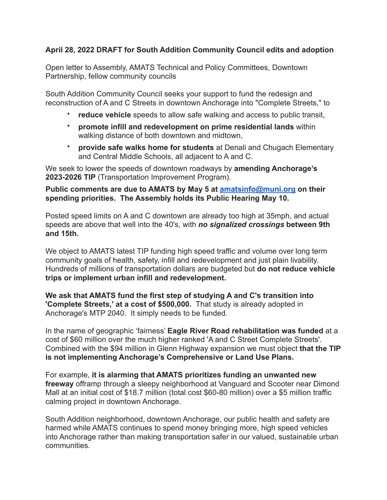## **April 28, 2022 DRAFT for South Addition Community Council edits and adoption**

Open letter to Assembly, AMATS Technical and Policy Committees, Downtown Partnership, fellow community councils

South Addition Community Council seeks your support to fund the redesign and reconstruction of A and C Streets in downtown Anchorage into "Complete Streets," to

- **reduce vehicle** speeds to allow safe walking and access to public transit,
- **promote infill and redevelopment on prime residential lands** within walking distance of both downtown and midtown,
- **provide safe walks home for students** at Denali and Chugach Elementary and Central Middle Schools, all adjacent to A and C.

We seek to lower the speeds of downtown roadways by **amending Anchorage's 2023-2026 TIP** (Transportation Improvement Program).

**Public comments are due to AMATS by May 5 at [amatsinfo@muni.org](mailto:amatsinfo@muni.org) on their spending priorities. The Assembly holds its Public Hearing May 10.**

Posted speed limits on A and C downtown are already too high at 35mph, and actual speeds are above that well into the 40's, with *no signalized crossings* **between 9th and 15th.**

We object to AMATS latest TIP funding high speed traffic and volume over long term community goals of health, safety, infill and redevelopment and just plain livability. Hundreds of millions of transportation dollars are budgeted but **do not reduce vehicle trips or implement urban infill and redevelopment.**

**We ask that AMATS fund the first step of studying A and C's transition into 'Complete Streets,' at a cost of \$500,000.** That study is already adopted in Anchorage's MTP 2040. It simply needs to be funded.

In the name of geographic 'fairness' **Eagle River Road rehabilitation was funded** at a cost of \$60 million over the much higher ranked 'A and C Street Complete Streets'. Combined with the \$94 million in Glenn Highway expansion we must object **that the TIP is not implementing Anchorage's Comprehensive or Land Use Plans.** 

For example, **it is alarming that AMATS prioritizes funding an unwanted new freeway** offramp through a sleepy neighborhood at Vanguard and Scooter near Dimond Mall at an initial cost of \$18.7 million (total cost \$60-80 million) over a \$5 million traffic calming project in downtown Anchorage.

South Addition neighborhood, downtown Anchorage, our public health and safety are harmed while AMATS continues to spend money bringing more, high speed vehicles into Anchorage rather than making transportation safer in our valued, sustainable urban communities.